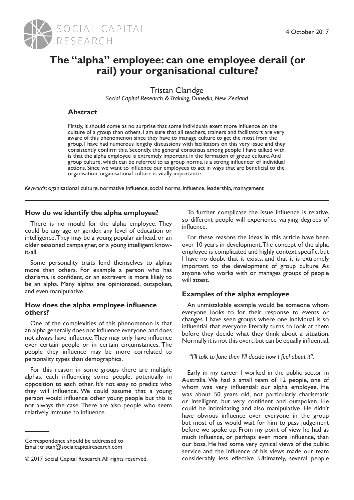

# **The "alpha" employee: can one employee derail (or rail) your organisational culture?**

Tristan Claridge

*Social Capital Research & Training, Dunedin, New Zealand*

# **Abstract**

Firstly, it should come as no surprise that some individuals exert more influence on the culture of a group than others. I am sure that all teachers, trainers and facilitators are very aware of this phenomenon since they have to manage culture to get the most from the group. I have had numerous lengthy discussions with facilitators on this very issue and they consistently confirm this. Secondly, the general consensus among people I have talked with is that the alpha employee is extremely important in the formation of group culture. And group culture, which can be referred to as group norms, is a strong influencer of individual actions. Since we want to influence our employees to act in ways that are beneficial to the organisation, organisational culture is vitally importance.

*Keywords*: oganisational culture, normative influence, social norms, influence, leadership, management

# **How do we identify the alpha employee?**

There is no mould for the alpha employee. They could be any age or gender, any level of education or intelligence. They may be a young popular airhead, or an older seasoned campaigner, or a young intelligent knowit-all.

Some personality traits lend themselves to alphas more than others. For example a person who has charisma, is confident, or an extravert is more likely to be an alpha. Many alphas are opinionated, outspoken, and even manipulative.

# **How does the alpha employee influence others?**

One of the complexities of this phenomenon is that an alpha generally does not influence everyone, and does not always have influence. They may only have influence over certain people or in certain circumstances. The people they influence may be more correlated to personality types than demographics.

For this reason in some groups there are multiple alphas, each influencing some people, potentially in opposition to each other. It's not easy to predict who they will influence. We could assume that a young person would influence other young people but this is not always the case. There are also people who seem relatively immune to influence.

To further complicate the issue influence is relative, so different people will experience varying degrees of influence.

For these reasons the ideas in this article have been over 10 years in development. The concept of the alpha employee is complicated and highly context specific, but I have no doubt that it exists, and that it is extremely important to the development of group culture. As anyone who works with or manages groups of people will attest.

# **Examples of the alpha employee**

An unmistakable example would be someone whom everyone looks to for their response to events or changes. I have seen groups where one individual is so influential that everyone literally turns to look at them before they decide what they think about a situation. Normally it is not this overt, but can be equally influential.

*"I'll talk to Jane then I'll decide how I feel about it".*

Early in my career I worked in the public sector in Australia. We had a small team of 12 people, one of whom was very influential: our alpha employee. He was about 50 years old, not particularly charismatic or intelligent, but very confident and outspoken. He could be intimidating and also manipulative. He didn't have obvious influence over everyone in the group but most of us would wait for him to pass judgement before we spoke up. From my point of view he had as much influence, or perhaps even more influence, than our boss. He had some very cynical views of the public service and the influence of his views made our team considerably less effective. Ultimately, several people

Correspondence should be addressed to Email: tristan@socialcapitalresearch.com

<sup>© 2017</sup> Social Capital Research. All rights reserved.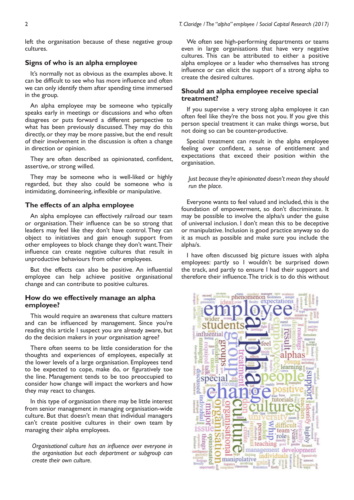left the organisation because of these negative group cultures.

## **Signs of who is an alpha employee**

It's normally not as obvious as the examples above. It can be difficult to see who has more influence and often we can only identify them after spending time immersed in the group.

An alpha employee may be someone who typically speaks early in meetings or discussions and who often disagrees or puts forward a different perspective to what has been previously discussed. They may do this directly, or they may be more passive, but the end result of their involvement in the discussion is often a change in direction or opinion.

They are often described as opinionated, confident, assertive, or strong willed.

They may be someone who is well-liked or highly regarded, but they also could be someone who is intimidating, domineering, inflexible or manipulative.

## **The effects of an alpha employee**

An alpha employee can effectively railroad our team or organisation. Their influence can be so strong that leaders may feel like they don't have control. They can object to initiatives and gain enough support from other employees to block change they don't want. Their influence can create negative cultures that result in unproductive behaviours from other employees.

But the effects can also be positive. An influential employee can help achieve positive organisational change and can contribute to positive cultures.

## **How do we effectively manage an alpha employee?**

This would require an awareness that culture matters and can be influenced by management. Since you're reading this article I suspect you are already aware, but do the decision makers in your organisation agree?

There often seems to be little consideration for the thoughts and experiences of employees, especially at the lower levels of a large organisation. Employees tend to be expected to cope, make do, or figuratively toe the line. Management tends to be too preoccupied to consider how change will impact the workers and how they may react to changes.

In this type of organisation there may be little interest from senior management in managing organisation-wide culture. But that doesn't mean that individual managers can't create positive cultures in their own team by managing their alpha employees.

*Organisational culture has an influence over everyone in the organisation but each department or subgroup can create their own culture.*

We often see high-performing departments or teams even in large organisations that have very negative cultures. This can be attributed to either a positive alpha employee or a leader who themselves has strong influence or can elicit the support of a strong alpha to create the desired cultures.

## **Should an alpha employee receive special treatment?**

If you supervise a very strong alpha employee it can often feel like they're the boss not you. If you give this person special treatment it can make things worse, but not doing so can be counter-productive.

Special treatment can result in the alpha employee feeling over confident, a sense of entitlement and expectations that exceed their position within the organisation.

*Just because they're opinionated doesn't mean they should run the place.*

Everyone wants to feel valued and included, this is the foundation of empowerment, so don't discriminate. It may be possible to involve the alpha/s under the guise of universal inclusion. I don't mean this to be deceptive or manipulative. Inclusion is good practice anyway so do it as much as possible and make sure you include the alpha/s.

I have often discussed big picture issues with alpha employees: partly so I wouldn't be surprised down the track, and partly to ensure I had their support and therefore their influence. The trick is to do this without

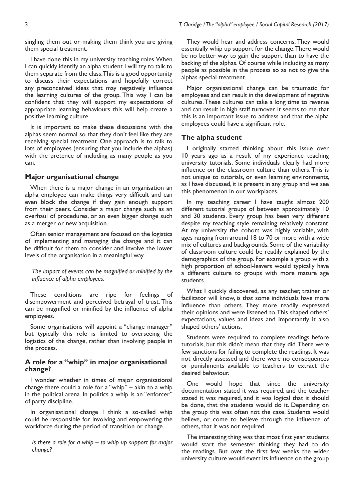singling them out or making them think you are giving them special treatment.

I have done this in my university teaching roles. When I can quickly identify an alpha student I will try to talk to them separate from the class. This is a good opportunity to discuss their expectations and hopefully correct any preconceived ideas that may negatively influence the learning cultures of the group. This way I can be confident that they will support my expectations of appropriate learning behaviours this will help create a positive learning culture.

It is important to make these discussions with the alphas seem normal so that they don't feel like they are receiving special treatment. One approach is to talk to lots of employees (ensuring that you include the alphas) with the pretence of including as many people as you can.

## **Major organisational change**

When there is a major change in an organisation an alpha employee can make things very difficult and can even block the change if they gain enough support from their peers. Consider a major change such as an overhaul of procedures, or an even bigger change such as a merger or new acquisition.

Often senior management are focused on the logistics of implementing and managing the change and it can be difficult for them to consider and involve the lower levels of the organisation in a meaningful way.

*The impact of events can be magnified or minified by the influence of alpha employees.*

These conditions are ripe for feelings of disempowerment and perceived betrayal of trust. This can be magnified or minified by the influence of alpha employees.

Some organisations will appoint a "change manager" but typically this role is limited to overseeing the logistics of the change, rather than involving people in the process.

## **A role for a "whip" in major organisational change?**

I wonder whether in times of major organisational change there could a role for a "whip" – akin to a whip in the political arena. In politics a whip is an "enforcer" of party discipline.

In organisational change I think a so-called whip could be responsible for involving and empowering the workforce during the period of transition or change.

*Is there a role for a whip – to whip up support for major change?*

They would hear and address concerns. They would essentially whip up support for the change. There would be no better way to gain the support than to have the backing of the alphas. Of course while including as many people as possible in the process so as not to give the alphas special treatment.

Major organisational change can be traumatic for employees and can result in the development of negative cultures. These cultures can take a long time to reverse and can result in high staff turnover. It seems to me that this is an important issue to address and that the alpha employees could have a significant role.

## **The alpha student**

I originally started thinking about this issue over 10 years ago as a result of my experience teaching university tutorials. Some individuals clearly had more influence on the classroom culture than others. This is not unique to tutorials, or even learning environments, as I have discussed, it is present in any group and we see this phenomenon in our workplaces.

In my teaching career I have taught almost 200 different tutorial groups of between approximately 10 and 30 students. Every group has been very different despite my teaching style remaining relatively constant. At my university the cohort was highly variable, with ages ranging from around 18 to 70 or more with a wide mix of cultures and backgrounds. Some of the variability of classroom culture could be readily explained by the demographics of the group. For example a group with a high proportion of school-leavers would typically have a different culture to groups with more mature age students.

What I quickly discovered, as any teacher, trainer or facilitator will know, is that some individuals have more influence than others. They more readily expressed their opinions and were listened to. This shaped others' expectations, values and ideas and importantly it also shaped others' actions.

Students were required to complete readings before tutorials, but this didn't mean that they did. There were few sanctions for failing to complete the readings. It was not directly assessed and there were no consequences or punishments available to teachers to extract the desired behaviour.

One would hope that since the university documentation stated it was required, and the teacher stated it was required, and it was logical that it should be done, that the students would do it. Depending on the group this was often not the case. Students would believe, or come to believe through the influence of others, that it was not required.

The interesting thing was that most first year students would start the semester thinking they had to do the readings. But over the first few weeks the wider university culture would exert its influence on the group